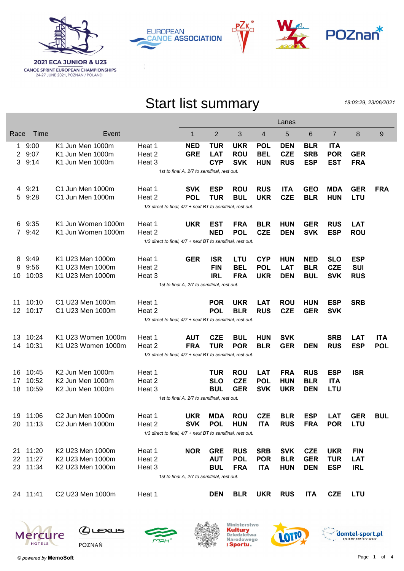







## Start list summary

18:03:29, 23/06/2021

|                                             |                                                            |                              |                                                            | Lanes                                       |            |            |            |            |            |            |            |            |  |
|---------------------------------------------|------------------------------------------------------------|------------------------------|------------------------------------------------------------|---------------------------------------------|------------|------------|------------|------------|------------|------------|------------|------------|--|
| Race                                        | Time                                                       | Event                        |                                                            | 1                                           | 2          | 3          | 4          | 5          | 6          | 7          | 8          | 9          |  |
| 1.                                          | 9:00                                                       | K1 Jun Men 1000m             | Heat 1                                                     | <b>NED</b>                                  | <b>TUR</b> | <b>UKR</b> | <b>POL</b> | <b>DEN</b> | <b>BLR</b> | <b>ITA</b> |            |            |  |
| 2                                           | 9:07                                                       | K1 Jun Men 1000m             | Heat 2                                                     | <b>GRE</b>                                  | <b>LAT</b> | <b>ROU</b> | <b>BEL</b> | <b>CZE</b> | <b>SRB</b> | <b>POR</b> | <b>GER</b> |            |  |
| 3                                           | 9:14                                                       | K1 Jun Men 1000m             | Heat 3                                                     |                                             | <b>CYP</b> | <b>SVK</b> | <b>HUN</b> | <b>RUS</b> | <b>ESP</b> | <b>EST</b> | <b>FRA</b> |            |  |
|                                             |                                                            |                              | 1st to final A, 2/7 to semifinal, rest out.                |                                             |            |            |            |            |            |            |            |            |  |
| 4                                           | 9:21                                                       | C1 Jun Men 1000m             | Heat 1                                                     | <b>SVK</b>                                  | <b>ESP</b> | <b>ROU</b> | <b>RUS</b> | <b>ITA</b> | <b>GEO</b> | <b>MDA</b> | <b>GER</b> | <b>FRA</b> |  |
| 5                                           | 9:28                                                       | C1 Jun Men 1000m             | Heat 2                                                     | <b>POL</b>                                  | <b>TUR</b> | <b>BUL</b> | <b>UKR</b> | <b>CZE</b> | <b>BLR</b> | <b>HUN</b> | <b>LTU</b> |            |  |
|                                             |                                                            |                              | 1/3 direct to final, 4/7 + next BT to semifinal, rest out. |                                             |            |            |            |            |            |            |            |            |  |
| 6                                           | 9:35                                                       | K1 Jun Women 1000m           | Heat 1                                                     | <b>UKR</b>                                  | <b>EST</b> | <b>FRA</b> | <b>BLR</b> | <b>HUN</b> | <b>GER</b> | <b>RUS</b> | <b>LAT</b> |            |  |
|                                             | 7 9:42                                                     | K1 Jun Women 1000m           | Heat 2                                                     |                                             | <b>NED</b> | <b>POL</b> | <b>CZE</b> | <b>DEN</b> | <b>SVK</b> | <b>ESP</b> | <b>ROU</b> |            |  |
|                                             | 1/3 direct to final, 4/7 + next BT to semifinal, rest out. |                              |                                                            |                                             |            |            |            |            |            |            |            |            |  |
| 8                                           | 9:49                                                       | K1 U23 Men 1000m             | Heat 1                                                     | <b>GER</b>                                  | <b>ISR</b> | LTU        | <b>CYP</b> | <b>HUN</b> | <b>NED</b> | <b>SLO</b> | <b>ESP</b> |            |  |
| 9                                           | 9:56                                                       | K1 U23 Men 1000m             | Heat 2                                                     |                                             | <b>FIN</b> | <b>BEL</b> | <b>POL</b> | <b>LAT</b> | <b>BLR</b> | <b>CZE</b> | <b>SUI</b> |            |  |
| 10                                          | 10:03                                                      | K1 U23 Men 1000m             | Heat 3                                                     |                                             | <b>IRL</b> | <b>FRA</b> | <b>UKR</b> | <b>DEN</b> | <b>BUL</b> | <b>SVK</b> | <b>RUS</b> |            |  |
| 1st to final A, 2/7 to semifinal, rest out. |                                                            |                              |                                                            |                                             |            |            |            |            |            |            |            |            |  |
| 11                                          | 10:10                                                      | C1 U23 Men 1000m             | Heat 1                                                     |                                             | <b>POR</b> | <b>UKR</b> | <b>LAT</b> | <b>ROU</b> | <b>HUN</b> | <b>ESP</b> | <b>SRB</b> |            |  |
| 12                                          | 10:17                                                      | C1 U23 Men 1000m             | Heat 2                                                     |                                             | <b>POL</b> | <b>BLR</b> | <b>RUS</b> | <b>CZE</b> | <b>GER</b> | <b>SVK</b> |            |            |  |
|                                             |                                                            |                              | 1/3 direct to final, 4/7 + next BT to semifinal, rest out. |                                             |            |            |            |            |            |            |            |            |  |
| 13                                          | 10:24                                                      | K1 U23 Women 1000m           | Heat 1                                                     | <b>AUT</b>                                  | <b>CZE</b> | <b>BUL</b> | <b>HUN</b> | <b>SVK</b> |            | <b>SRB</b> | <b>LAT</b> | <b>ITA</b> |  |
| 14                                          | 10:31                                                      | K1 U23 Women 1000m           | Heat 2                                                     | <b>FRA</b>                                  | <b>TUR</b> | <b>POR</b> | <b>BLR</b> | <b>GER</b> | <b>DEN</b> | <b>RUS</b> | <b>ESP</b> | <b>POL</b> |  |
|                                             |                                                            |                              | 1/3 direct to final, 4/7 + next BT to semifinal, rest out. |                                             |            |            |            |            |            |            |            |            |  |
| 16                                          | 10:45                                                      | K2 Jun Men 1000m             | Heat 1                                                     |                                             | <b>TUR</b> | <b>ROU</b> | <b>LAT</b> | <b>FRA</b> | <b>RUS</b> | <b>ESP</b> | <b>ISR</b> |            |  |
| 17                                          | 10:52                                                      | K2 Jun Men 1000m             | Heat 2                                                     |                                             | <b>SLO</b> | <b>CZE</b> | <b>POL</b> | <b>HUN</b> | <b>BLR</b> | <b>ITA</b> |            |            |  |
| 18                                          | 10:59                                                      | K2 Jun Men 1000m             | Heat 3                                                     |                                             | <b>BUL</b> | <b>GER</b> | <b>SVK</b> | <b>UKR</b> | <b>DEN</b> | <b>LTU</b> |            |            |  |
|                                             |                                                            |                              |                                                            | 1st to final A, 2/7 to semifinal, rest out. |            |            |            |            |            |            |            |            |  |
|                                             | 19 11:06                                                   | C <sub>2</sub> Jun Men 1000m | Heat 1                                                     | <b>UKR</b>                                  | <b>MDA</b> | <b>ROU</b> | <b>CZE</b> | <b>BLR</b> | <b>ESP</b> | <b>LAT</b> | <b>GER</b> | <b>BUL</b> |  |
|                                             | 20 11:13                                                   | C2 Jun Men 1000m             | Heat 2                                                     | <b>SVK</b>                                  | <b>POL</b> | <b>HUN</b> | <b>ITA</b> | <b>RUS</b> | <b>FRA</b> | <b>POR</b> | LTU        |            |  |
|                                             |                                                            |                              | 1/3 direct to final, 4/7 + next BT to semifinal, rest out. |                                             |            |            |            |            |            |            |            |            |  |
|                                             | 21 11:20                                                   | K2 U23 Men 1000m             | Heat 1                                                     | <b>NOR</b>                                  | <b>GRE</b> | <b>RUS</b> | <b>SRB</b> | <b>SVK</b> | <b>CZE</b> | <b>UKR</b> | <b>FIN</b> |            |  |
| 22                                          | 11:27                                                      | K2 U23 Men 1000m             | Heat 2                                                     |                                             | <b>AUT</b> | <b>POL</b> | <b>POR</b> | <b>BLR</b> | <b>GER</b> | <b>TUR</b> | <b>LAT</b> |            |  |
|                                             | 23 11:34                                                   | K2 U23 Men 1000m             | Heat 3                                                     |                                             | <b>BUL</b> | <b>FRA</b> | <b>ITA</b> | <b>HUN</b> | <b>DEN</b> | <b>ESP</b> | <b>IRL</b> |            |  |
|                                             |                                                            |                              |                                                            | 1st to final A, 2/7 to semifinal, rest out. |            |            |            |            |            |            |            |            |  |
|                                             | 24 11:41                                                   | C2 U23 Men 1000m             | Heat 1                                                     |                                             | <b>DEN</b> | <b>BLR</b> | <b>UKR</b> | <b>RUS</b> | <b>ITA</b> | <b>CZE</b> | <b>LTU</b> |            |  |









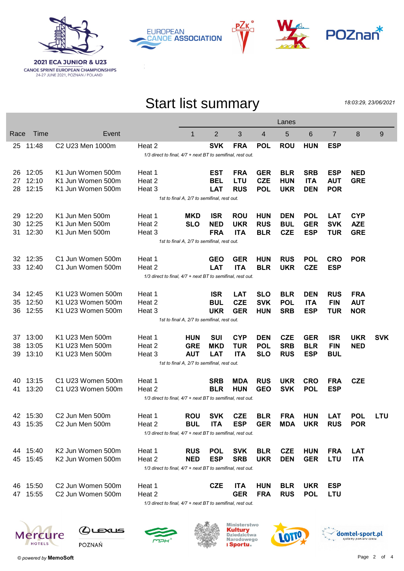

**CANOE SPRINT EUROPEAN CHAMPIONSHIPS**<br>24-27 JUNE 2021, POZNAN / POLAND









## Start list summary

18:03:29, 23/06/2021

|      |                                                            |                                          |                                                               |                                             |            |            |            | Lanes      |            |                |            |            |
|------|------------------------------------------------------------|------------------------------------------|---------------------------------------------------------------|---------------------------------------------|------------|------------|------------|------------|------------|----------------|------------|------------|
| Race | Time                                                       | Event                                    |                                                               | $\mathbf 1$                                 | 2          | 3          | 4          | 5          | 6          | $\overline{7}$ | 8          | 9          |
|      | 25 11:48                                                   | C <sub>2</sub> U <sub>23</sub> Men 1000m | Heat 2                                                        |                                             | <b>SVK</b> | <b>FRA</b> | <b>POL</b> | <b>ROU</b> | <b>HUN</b> | <b>ESP</b>     |            |            |
|      |                                                            |                                          | 1/3 direct to final, 4/7 + next BT to semifinal, rest out.    |                                             |            |            |            |            |            |                |            |            |
| 26   | 12:05                                                      | K1 Jun Women 500m                        | Heat 1                                                        |                                             | EST        | <b>FRA</b> | <b>GER</b> | <b>BLR</b> | <b>SRB</b> | <b>ESP</b>     | <b>NED</b> |            |
| 27   | 12:10                                                      | K1 Jun Women 500m                        | Heat 2                                                        |                                             | <b>BEL</b> | <b>LTU</b> | <b>CZE</b> | <b>HUN</b> | <b>ITA</b> | <b>AUT</b>     | <b>GRE</b> |            |
| 28   | 12:15                                                      | K1 Jun Women 500m                        | Heat 3                                                        |                                             | <b>LAT</b> | <b>RUS</b> | <b>POL</b> | <b>UKR</b> | <b>DEN</b> | <b>POR</b>     |            |            |
|      | 1st to final A, 2/7 to semifinal, rest out.                |                                          |                                                               |                                             |            |            |            |            |            |                |            |            |
| 29   | 12:20                                                      | K1 Jun Men 500m                          | Heat 1                                                        | <b>MKD</b>                                  | <b>ISR</b> | <b>ROU</b> | <b>HUN</b> | <b>DEN</b> | <b>POL</b> | <b>LAT</b>     | <b>CYP</b> |            |
| 30   | 12:25                                                      | K1 Jun Men 500m                          | Heat 2                                                        | <b>SLO</b>                                  | <b>NED</b> | <b>UKR</b> | <b>RUS</b> | <b>BUL</b> | <b>GER</b> | <b>SVK</b>     | <b>AZE</b> |            |
| 31   | 12:30                                                      | K1 Jun Men 500m                          | Heat 3                                                        |                                             | <b>FRA</b> | <b>ITA</b> | <b>BLR</b> | <b>CZE</b> | <b>ESP</b> | <b>TUR</b>     | <b>GRE</b> |            |
|      | 1st to final A, 2/7 to semifinal, rest out.                |                                          |                                                               |                                             |            |            |            |            |            |                |            |            |
| 32   | 12:35                                                      | C1 Jun Women 500m                        | Heat 1                                                        |                                             | <b>GEO</b> | <b>GER</b> | <b>HUN</b> | <b>RUS</b> | <b>POL</b> | <b>CRO</b>     | <b>POR</b> |            |
| 33   | 12:40                                                      | C1 Jun Women 500m                        | Heat 2                                                        |                                             | <b>LAT</b> | <b>ITA</b> | <b>BLR</b> | <b>UKR</b> | <b>CZE</b> | <b>ESP</b>     |            |            |
|      | 1/3 direct to final, 4/7 + next BT to semifinal, rest out. |                                          |                                                               |                                             |            |            |            |            |            |                |            |            |
| 34   | 12:45                                                      | K1 U23 Women 500m                        | Heat 1                                                        |                                             | <b>ISR</b> | <b>LAT</b> | <b>SLO</b> | <b>BLR</b> | <b>DEN</b> | <b>RUS</b>     | <b>FRA</b> |            |
| 35   | 12:50                                                      | K1 U23 Women 500m                        | Heat 2                                                        |                                             | <b>BUL</b> | <b>CZE</b> | <b>SVK</b> | <b>POL</b> | <b>ITA</b> | <b>FIN</b>     | <b>AUT</b> |            |
| 36   | 12:55                                                      | K1 U23 Women 500m                        | Heat 3                                                        |                                             | <b>UKR</b> | <b>GER</b> | <b>HUN</b> | <b>SRB</b> | <b>ESP</b> | <b>TUR</b>     | <b>NOR</b> |            |
|      |                                                            |                                          |                                                               | 1st to final A, 2/7 to semifinal, rest out. |            |            |            |            |            |                |            |            |
| 37   | 13:00                                                      | K1 U23 Men 500m                          | Heat 1                                                        | <b>HUN</b>                                  | <b>SUI</b> | <b>CYP</b> | <b>DEN</b> | <b>CZE</b> | <b>GER</b> | <b>ISR</b>     | <b>UKR</b> | <b>SVK</b> |
| 38   | 13:05                                                      | K1 U23 Men 500m                          | Heat 2                                                        | <b>GRE</b>                                  | <b>MKD</b> | <b>TUR</b> | <b>POL</b> | <b>SRB</b> | <b>BLR</b> | <b>FIN</b>     | <b>NED</b> |            |
| 39   | 13:10                                                      | K1 U23 Men 500m                          | Heat 3                                                        | <b>AUT</b>                                  | <b>LAT</b> | <b>ITA</b> | <b>SLO</b> | <b>RUS</b> | <b>ESP</b> | <b>BUL</b>     |            |            |
|      |                                                            |                                          |                                                               | 1st to final A, 2/7 to semifinal, rest out. |            |            |            |            |            |                |            |            |
| 40   | 13:15                                                      | C1 U23 Women 500m                        | Heat 1                                                        |                                             | <b>SRB</b> | <b>MDA</b> | <b>RUS</b> | <b>UKR</b> | <b>CRO</b> | <b>FRA</b>     | <b>CZE</b> |            |
| 41   | 13:20                                                      | C1 U23 Women 500m                        | Heat 2                                                        |                                             | <b>BLR</b> | <b>HUN</b> | <b>GEO</b> | <b>SVK</b> | <b>POL</b> | <b>ESP</b>     |            |            |
|      |                                                            |                                          | 1/3 direct to final, 4/7 + next BT to semifinal, rest out.    |                                             |            |            |            |            |            |                |            |            |
|      | 42 15:30                                                   | C2 Jun Men 500m                          | Heat 1                                                        | <b>ROU</b>                                  | <b>SVK</b> | <b>CZE</b> | <b>BLR</b> | <b>FRA</b> | <b>HUN</b> | <b>LAT</b>     | <b>POL</b> | LTU        |
|      | 43 15:35                                                   | C2 Jun Men 500m                          | Heat 2                                                        | <b>BUL</b>                                  | <b>ITA</b> | <b>ESP</b> | <b>GER</b> | MDA        | <b>UKR</b> | <b>RUS</b>     | <b>POR</b> |            |
|      |                                                            |                                          | 1/3 direct to final, 4/7 + next BT to semifinal, rest out.    |                                             |            |            |            |            |            |                |            |            |
|      | 44 15:40                                                   | K2 Jun Women 500m                        | Heat 1                                                        | <b>RUS</b>                                  | <b>POL</b> | <b>SVK</b> | <b>BLR</b> | <b>CZE</b> | <b>HUN</b> | <b>FRA</b>     | <b>LAT</b> |            |
|      | 45 15:45                                                   | K2 Jun Women 500m                        | Heat 2                                                        | <b>NED</b>                                  | <b>ESP</b> | <b>SRB</b> | <b>UKR</b> | <b>DEN</b> | <b>GER</b> | LTU            | <b>ITA</b> |            |
|      |                                                            |                                          | 1/3 direct to final, 4/7 + next BT to semifinal, rest out.    |                                             |            |            |            |            |            |                |            |            |
|      | 46 15:50                                                   | C2 Jun Women 500m                        | Heat 1                                                        |                                             | <b>CZE</b> | <b>ITA</b> | <b>HUN</b> | <b>BLR</b> | <b>UKR</b> | <b>ESP</b>     |            |            |
|      | 47 15:55                                                   | C2 Jun Women 500m                        | Heat 2                                                        |                                             |            | <b>GER</b> | <b>FRA</b> | <b>RUS</b> | <b>POL</b> | <b>LTU</b>     |            |            |
|      |                                                            |                                          | $1/2$ direct to final $1/7 +$ next $DT$ to cemifinal rest out |                                             |            |            |            |            |            |                |            |            |

 $1/3$  direct to final,  $4/7$  + next BT to semifinal, rest out.









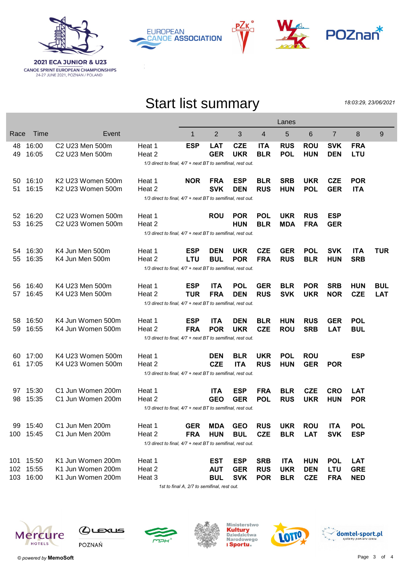

**CANOE SPRINT EUROPEAN CHAMPIONSHIPS**<br>24-27 JUNE 2021, POZNAN / POLAND







## Start list summary

18:03:29, 23/06/2021

|      |                                                            |                                           |                                                                      |            |                |            |            | Lanes      |            |                |            |            |
|------|------------------------------------------------------------|-------------------------------------------|----------------------------------------------------------------------|------------|----------------|------------|------------|------------|------------|----------------|------------|------------|
| Race | Time                                                       | Event                                     |                                                                      | 1          | $\overline{2}$ | 3          | 4          | 5          | 6          | $\overline{7}$ | 8          | 9          |
| 48   | 16:00                                                      | C <sub>2</sub> U <sub>23</sub> Men 500m   | Heat 1                                                               | <b>ESP</b> | <b>LAT</b>     | <b>CZE</b> | <b>ITA</b> | <b>RUS</b> | <b>ROU</b> | <b>SVK</b>     | <b>FRA</b> |            |
| 49   | 16:05                                                      | C2 U23 Men 500m                           | Heat 2                                                               |            | <b>GER</b>     | <b>UKR</b> | <b>BLR</b> | <b>POL</b> | <b>HUN</b> | <b>DEN</b>     | <b>LTU</b> |            |
|      |                                                            |                                           | 1/3 direct to final, 4/7 + next BT to semifinal, rest out.           |            |                |            |            |            |            |                |            |            |
| 50   | 16:10                                                      | K2 U23 Women 500m                         | Heat 1                                                               | <b>NOR</b> | <b>FRA</b>     | ESP        | <b>BLR</b> | <b>SRB</b> | <b>UKR</b> | <b>CZE</b>     | <b>POR</b> |            |
| 51   | 16:15                                                      | K2 U23 Women 500m                         | Heat 2                                                               |            | <b>SVK</b>     | <b>DEN</b> | <b>RUS</b> | <b>HUN</b> | <b>POL</b> | <b>GER</b>     | <b>ITA</b> |            |
|      | 1/3 direct to final, 4/7 + next BT to semifinal, rest out. |                                           |                                                                      |            |                |            |            |            |            |                |            |            |
| 52   | 16:20                                                      | C <sub>2</sub> U <sub>23</sub> Women 500m | Heat 1                                                               |            | <b>ROU</b>     | <b>POR</b> | <b>POL</b> | <b>UKR</b> | <b>RUS</b> | <b>ESP</b>     |            |            |
| 53   | 16:25                                                      | C <sub>2</sub> U <sub>23</sub> Women 500m | Heat 2                                                               |            |                | <b>HUN</b> | <b>BLR</b> | <b>MDA</b> | <b>FRA</b> | <b>GER</b>     |            |            |
|      |                                                            |                                           | $1/3$ direct to final, $4/7$ + next BT to semifinal, rest out.       |            |                |            |            |            |            |                |            |            |
|      |                                                            |                                           |                                                                      |            |                |            |            |            |            |                |            |            |
| 54   | 16:30                                                      | K4 Jun Men 500m                           | Heat 1                                                               | <b>ESP</b> | <b>DEN</b>     | <b>UKR</b> | <b>CZE</b> | <b>GER</b> | <b>POL</b> | <b>SVK</b>     | <b>ITA</b> | <b>TUR</b> |
| 55   | 16:35                                                      | K4 Jun Men 500m                           | Heat 2                                                               | <b>LTU</b> | <b>BUL</b>     | <b>POR</b> | <b>FRA</b> | <b>RUS</b> | <b>BLR</b> | <b>HUN</b>     | <b>SRB</b> |            |
|      | 1/3 direct to final, 4/7 + next BT to semifinal, rest out. |                                           |                                                                      |            |                |            |            |            |            |                |            |            |
| 56   | 16:40                                                      | K4 U23 Men 500m                           | Heat 1                                                               | <b>ESP</b> | <b>ITA</b>     | <b>POL</b> | <b>GER</b> | <b>BLR</b> | <b>POR</b> | <b>SRB</b>     | <b>HUN</b> | BUL        |
| 57   | 16:45                                                      | K4 U23 Men 500m                           | Heat 2                                                               | <b>TUR</b> | <b>FRA</b>     | <b>DEN</b> | <b>RUS</b> | <b>SVK</b> | <b>UKR</b> | <b>NOR</b>     | <b>CZE</b> | <b>LAT</b> |
|      |                                                            |                                           | 1/3 direct to final, 4/7 + next BT to semifinal, rest out.           |            |                |            |            |            |            |                |            |            |
| 58   | 16:50                                                      | K4 Jun Women 500m                         | Heat 1                                                               | <b>ESP</b> | <b>ITA</b>     | <b>DEN</b> | <b>BLR</b> | <b>HUN</b> | <b>RUS</b> | <b>GER</b>     | <b>POL</b> |            |
| 59   | 16:55                                                      | K4 Jun Women 500m                         | Heat 2                                                               | <b>FRA</b> | <b>POR</b>     | <b>UKR</b> | <b>CZE</b> | <b>ROU</b> | <b>SRB</b> | <b>LAT</b>     | <b>BUL</b> |            |
|      |                                                            |                                           | 1/3 direct to final, 4/7 + next BT to semifinal, rest out.           |            |                |            |            |            |            |                |            |            |
|      |                                                            |                                           |                                                                      |            |                |            |            |            |            |                |            |            |
| 60   | 17:00                                                      | K4 U23 Women 500m                         | Heat 1                                                               |            | <b>DEN</b>     | <b>BLR</b> | <b>UKR</b> | <b>POL</b> | <b>ROU</b> |                | <b>ESP</b> |            |
| 61   | 17:05                                                      | K4 U23 Women 500m                         | Heat 2                                                               |            | <b>CZE</b>     | <b>ITA</b> | <b>RUS</b> | <b>HUN</b> | <b>GER</b> | <b>POR</b>     |            |            |
|      |                                                            |                                           | $1/3$ direct to final, $4/7$ + next BT to semifinal, rest out.       |            |                |            |            |            |            |                |            |            |
| 97   | 15:30                                                      | C1 Jun Women 200m                         | Heat 1                                                               |            | <b>ITA</b>     | <b>ESP</b> | <b>FRA</b> | <b>BLR</b> | <b>CZE</b> | <b>CRO</b>     | <b>LAT</b> |            |
| 98   | 15:35                                                      | C1 Jun Women 200m                         | Heat 2                                                               |            | <b>GEO</b>     | <b>GER</b> | <b>POL</b> | <b>RUS</b> | <b>UKR</b> | <b>HUN</b>     | <b>POR</b> |            |
|      |                                                            |                                           | 1/3 direct to final, 4/7 + next BT to semifinal, rest out.           |            |                |            |            |            |            |                |            |            |
|      |                                                            |                                           |                                                                      |            |                |            |            |            |            |                |            |            |
| 99   | 15:40                                                      | C1 Jun Men 200m<br>C1 Jun Men 200m        | Heat 1                                                               | <b>GER</b> | <b>MDA</b>     | <b>GEO</b> | <b>RUS</b> | <b>UKR</b> | <b>ROU</b> | <b>ITA</b>     | <b>POL</b> |            |
|      | 100 15:45                                                  |                                           | Heat 2<br>1/3 direct to final, 4/7 + next BT to semifinal, rest out. | <b>FRA</b> | <b>HUN</b>     | <b>BUL</b> | <b>CZE</b> | <b>BLR</b> | <b>LAT</b> | <b>SVK</b>     | <b>ESP</b> |            |
|      |                                                            |                                           |                                                                      |            |                |            |            |            |            |                |            |            |
|      | 101 15:50                                                  | K1 Jun Women 200m                         | Heat 1                                                               |            | <b>EST</b>     | <b>ESP</b> | <b>SRB</b> | <b>ITA</b> | <b>HUN</b> | <b>POL</b>     | <b>LAT</b> |            |
|      | 102 15:55                                                  | K1 Jun Women 200m                         | Heat 2                                                               |            | <b>AUT</b>     | <b>GER</b> | <b>RUS</b> | <b>UKR</b> | <b>DEN</b> | <b>LTU</b>     | <b>GRE</b> |            |
|      | 103 16:00                                                  | K1 Jun Women 200m                         | Heat 3                                                               |            | <b>BUL</b>     | <b>SVK</b> | <b>POR</b> | <b>BLR</b> | <b>CZE</b> | <b>FRA</b>     | <b>NED</b> |            |
|      |                                                            |                                           |                                                                      |            |                |            |            |            |            |                |            |            |

1st to final A, 2/7 to semifinal, rest out.